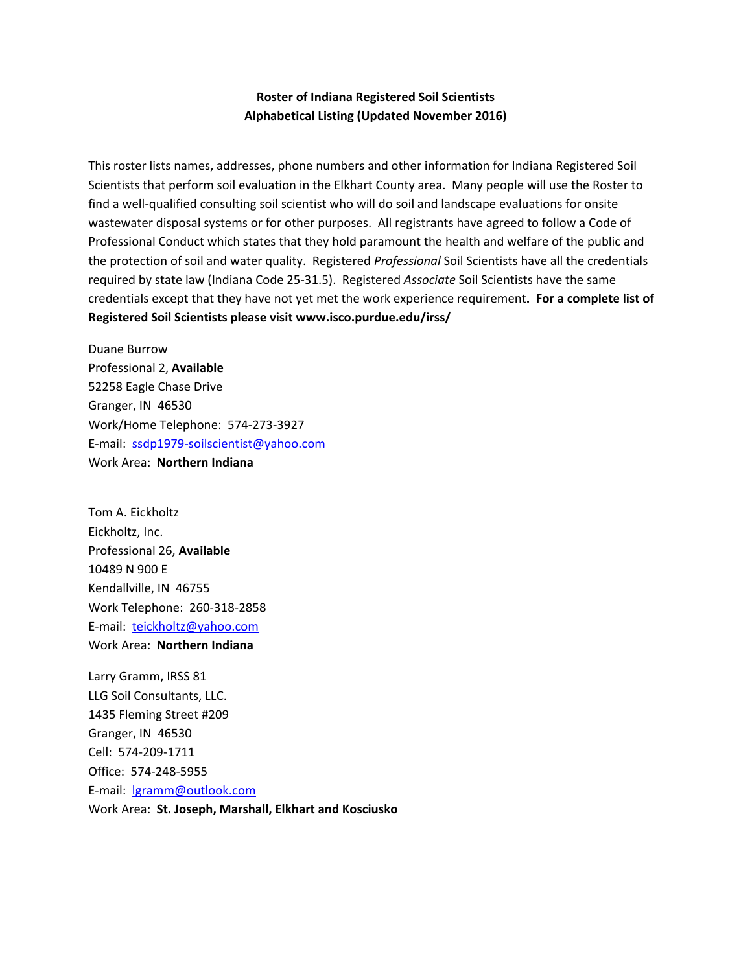## **Roster of Indiana Registered Soil Scientists Alphabetical Listing (Updated November 2016)**

This roster lists names, addresses, phone numbers and other information for Indiana Registered Soil Scientists that perform soil evaluation in the Elkhart County area. Many people will use the Roster to find a well-qualified consulting soil scientist who will do soil and landscape evaluations for onsite wastewater disposal systems or for other purposes. All registrants have agreed to follow a Code of Professional Conduct which states that they hold paramount the health and welfare of the public and the protection of soil and water quality. Registered *Professional* Soil Scientists have all the credentials required by state law (Indiana Code 25‐31.5). Registered *Associate* Soil Scientists have the same credentials except that they have not yet met the work experience requirement**. For a complete list of Registered Soil Scientists please visit www.isco.purdue.edu/irss/**

Duane Burrow Professional 2, **Available** 52258 Eagle Chase Drive Granger, IN 46530 Work/Home Telephone: 574‐273‐3927 E‐mail: ssdp1979‐soilscientist@yahoo.com Work Area: **Northern Indiana**

Tom A. Eickholtz Eickholtz, Inc. Professional 26, **Available** 10489 N 900 E Kendallville, IN 46755 Work Telephone: 260‐318‐2858 E‐mail: teickholtz@yahoo.com Work Area: **Northern Indiana**

Larry Gramm, IRSS 81 LLG Soil Consultants, LLC. 1435 Fleming Street #209 Granger, IN 46530 Cell: 574‐209‐1711 Office: 574‐248‐5955 E‐mail: lgramm@outlook.com Work Area: **St. Joseph, Marshall, Elkhart and Kosciusko**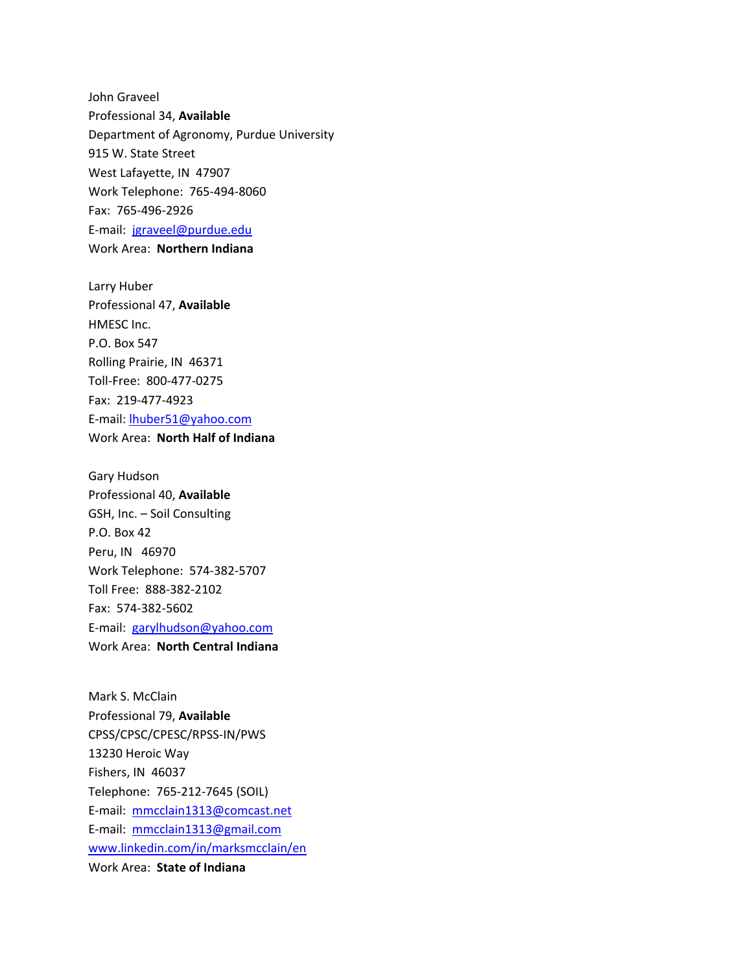John Graveel Professional 34, **Available** Department of Agronomy, Purdue University 915 W. State Street West Lafayette, IN 47907 Work Telephone: 765‐494‐8060 Fax: 765‐496‐2926 E‐mail: jgraveel@purdue.edu Work Area: **Northern Indiana**

Larry Huber Professional 47, **Available** HMESC Inc. P.O. Box 547 Rolling Prairie, IN 46371 Toll‐Free: 800‐477‐0275 Fax: 219‐477‐4923 E‐mail: lhuber51@yahoo.com Work Area: **North Half of Indiana**

Gary Hudson Professional 40, **Available** GSH, Inc. – Soil Consulting P.O. Box 42 Peru, IN 46970 Work Telephone: 574‐382‐5707 Toll Free: 888‐382‐2102 Fax: 574‐382‐5602 E‐mail: garylhudson@yahoo.com Work Area: **North Central Indiana**

Mark S. McClain Professional 79, **Available** CPSS/CPSC/CPESC/RPSS‐IN/PWS 13230 Heroic Way Fishers, IN 46037 Telephone: 765‐212‐7645 (SOIL) E‐mail: mmcclain1313@comcast.net E‐mail: mmcclain1313@gmail.com www.linkedin.com/in/marksmcclain/en Work Area: **State of Indiana**